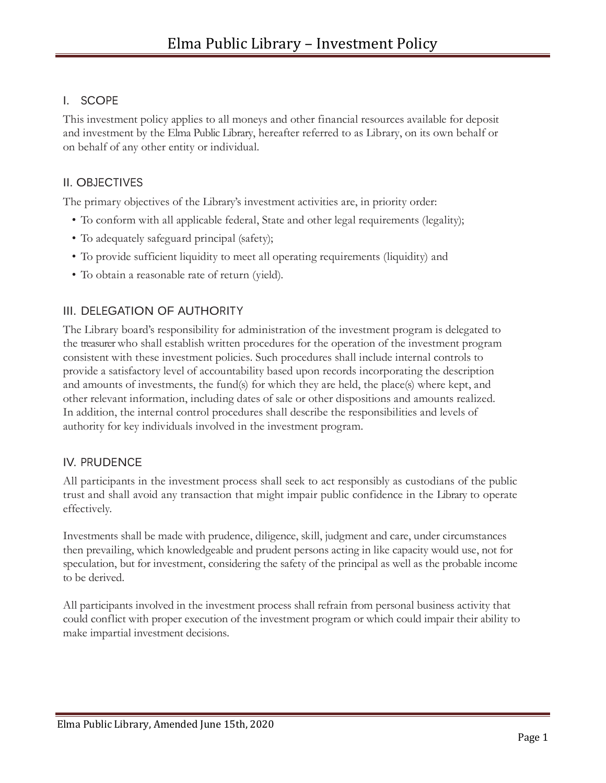## I. SCOPE

This investment policy applies to all moneys and other financial resources available for deposit and investment by the Elma Public Library, hereafter referred to as Library, on its own behalf or on behalf of any other entity or individual.

## II. OBJECTIVES

The primary objectives of the Library's investment activities are, in priority order:

- To conform with all applicable federal, State and other legal requirements (legality);
- To adequately safeguard principal (safety);
- To provide sufficient liquidity to meet all operating requirements (liquidity) and
- To obtain a reasonable rate of return (yield).

# III. DELEGATION OF AUTHORITY

The Library board's responsibility for administration of the investment program is delegated to the treasurer who shall establish written procedures for the operation of the investment program consistent with these investment policies. Such procedures shall include internal controls to provide a satisfactory level of accountability based upon records incorporating the description and amounts of investments, the fund(s) for which they are held, the place(s) where kept, and other relevant information, including dates of sale or other dispositions and amounts realized. In addition, the internal control procedures shall describe the responsibilities and levels of authority for key individuals involved in the investment program.

## IV. PRUDENCE

All participants in the investment process shall seek to act responsibly as custodians of the public trust and shall avoid any transaction that might impair public confidence in the Library to operate effectively.

Investments shall be made with prudence, diligence, skill, judgment and care, under circumstances then prevailing, which knowledgeable and prudent persons acting in like capacity would use, not for speculation, but for investment, considering the safety of the principal as well as the probable income to be derived.

All participants involved in the investment process shall refrain from personal business activity that could conflict with proper execution of the investment program or which could impair their ability to make impartial investment decisions.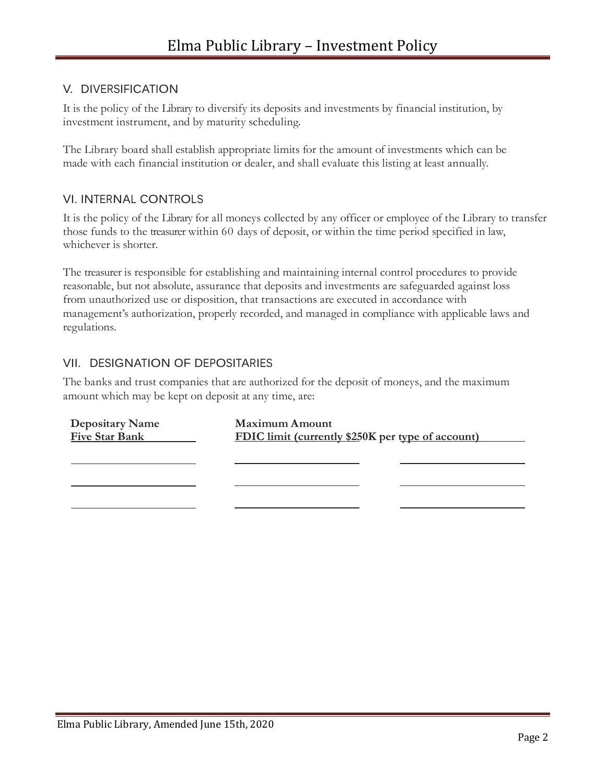### V. DIVERSIFICATION

It is the policy of the Library to diversify its deposits and investments by financial institution, by investment instrument, and by maturity scheduling.

The Library board shall establish appropriate limits for the amount of investments which can be made with each financial institution or dealer, and shall evaluate this listing at least annually.

#### VI. INTERNAL CONTROLS

It is the policy of the Library for all moneys collected by any officer or employee of the Library to transfer those funds to the treasurer within 60 days of deposit, or within the time period specified in law, whichever is shorter.

The treasurer is responsible for establishing and maintaining internal control procedures to provide reasonable, but not absolute, assurance that deposits and investments are safeguarded against loss from unauthorized use or disposition, that transactions are executed in accordance with management's authorization, properly recorded, and managed in compliance with applicable laws and regulations.

## VII. DESIGNATION OF DEPOSITARIES

The banks and trust companies that are authorized for the deposit of moneys, and the maximum amount which may be kept on deposit at any time, are:

| <b>Depositary Name</b><br><b>Five Star Bank</b> | <b>Maximum Amount</b><br><b>FDIC</b> limit (currently \$250K per type of account) |  |
|-------------------------------------------------|-----------------------------------------------------------------------------------|--|
|                                                 |                                                                                   |  |
|                                                 |                                                                                   |  |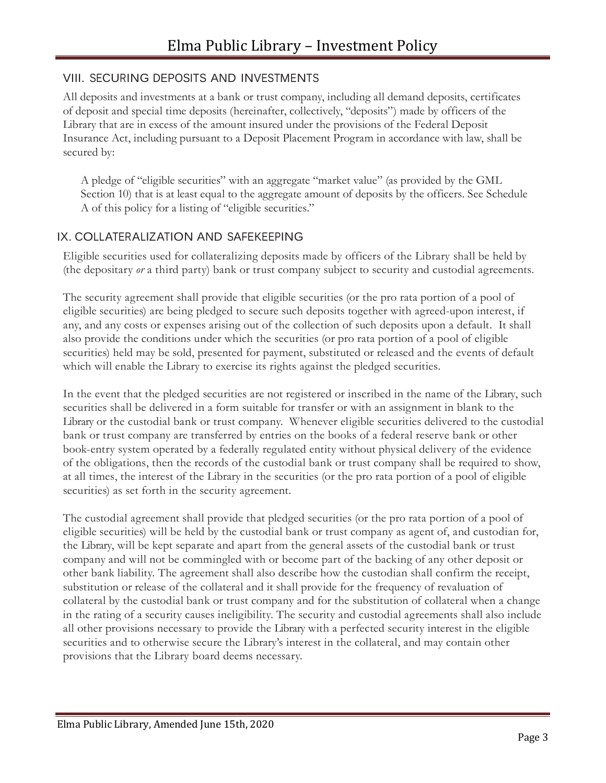### VIII. SECURING DEPOSITS AND INVESTMENTS

All deposits and investments at a bank or trust company, including all demand deposits, certificates of deposit and special time deposits (hereinafter, collectively, "deposits") made by officers of the Library that are in excess of the amount insured under the provisions of the Federal Deposit Insurance Act, including pursuant to a Deposit Placement Program in accordance with law, shall be secured by:

 A pledge of "eligible securities" with an aggregate "market value" (as provided by the GML Section 10) that is at least equal to the aggregate amount of deposits by the officers. See Schedule A of this policy for a listing of "eligible securities."

### IX. COLLATERALIZATION AND SAFEKEEPING

Eligible securities used for collateralizing deposits made by officers of the Library shall be held by (the depositary *or* a third party) bank or trust company subject to security and custodial agreements.

The security agreement shall provide that eligible securities (or the pro rata portion of a pool of eligible securities) are being pledged to secure such deposits together with agreed-upon interest, if any, and any costs or expenses arising out of the collection of such deposits upon a default. It shall also provide the conditions under which the securities (or pro rata portion of a pool of eligible securities) held may be sold, presented for payment, substituted or released and the events of default which will enable the Library to exercise its rights against the pledged securities.

In the event that the pledged securities are not registered or inscribed in the name of the Library, such securities shall be delivered in a form suitable for transfer or with an assignment in blank to the Library or the custodial bank or trust company. Whenever eligible securities delivered to the custodial bank or trust company are transferred by entries on the books of a federal reserve bank or other book-entry system operated by a federally regulated entity without physical delivery of the evidence of the obligations, then the records of the custodial bank or trust company shall be required to show, at all times, the interest of the Library in the securities (or the pro rata portion of a pool of eligible securities) as set forth in the security agreement.

The custodial agreement shall provide that pledged securities (or the pro rata portion of a pool of eligible securities) will be held by the custodial bank or trust company as agent of, and custodian for, the Library, will be kept separate and apart from the general assets of the custodial bank or trust company and will not be commingled with or become part of the backing of any other deposit or other bank liability. The agreement shall also describe how the custodian shall confirm the receipt, substitution or release of the collateral and it shall provide for the frequency of revaluation of collateral by the custodial bank or trust company and for the substitution of collateral when a change in the rating of a security causes ineligibility. The security and custodial agreements shall also include all other provisions necessary to provide the Library with a perfected security interest in the eligible securities and to otherwise secure the Library's interest in the collateral, and may contain other provisions that the Library board deems necessary.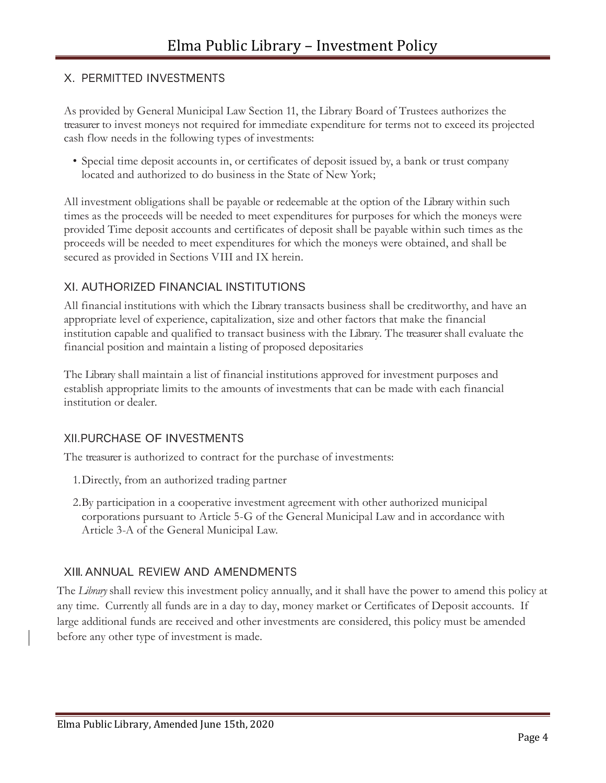### X. PERMITTED INVESTMENTS

As provided by General Municipal Law Section 11, the Library Board of Trustees authorizes the treasurer to invest moneys not required for immediate expenditure for terms not to exceed its projected cash flow needs in the following types of investments:

• Special time deposit accounts in, or certificates of deposit issued by, a bank or trust company located and authorized to do business in the State of New York;

All investment obligations shall be payable or redeemable at the option of the Library within such times as the proceeds will be needed to meet expenditures for purposes for which the moneys were provided Time deposit accounts and certificates of deposit shall be payable within such times as the proceeds will be needed to meet expenditures for which the moneys were obtained, and shall be secured as provided in Sections VIII and IX herein.

## XI. AUTHORIZED FINANCIAL INSTITUTIONS

All financial institutions with which the Library transacts business shall be creditworthy, and have an appropriate level of experience, capitalization, size and other factors that make the financial institution capable and qualified to transact business with the Library. The treasurer shall evaluate the financial position and maintain a listing of proposed depositaries

The Library shall maintain a list of financial institutions approved for investment purposes and establish appropriate limits to the amounts of investments that can be made with each financial institution or dealer.

#### XII.PURCHASE OF INVESTMENTS

The treasurer is authorized to contract for the purchase of investments:

- 1.Directly, from an authorized trading partner
- 2.By participation in a cooperative investment agreement with other authorized municipal corporations pursuant to Article 5-G of the General Municipal Law and in accordance with Article 3-A of the General Municipal Law.

#### XIII. ANNUAL REVIEW AND AMENDMENTS

The *Library* shall review this investment policy annually, and it shall have the power to amend this policy at any time. Currently all funds are in a day to day, money market or Certificates of Deposit accounts. If large additional funds are received and other investments are considered, this policy must be amended before any other type of investment is made.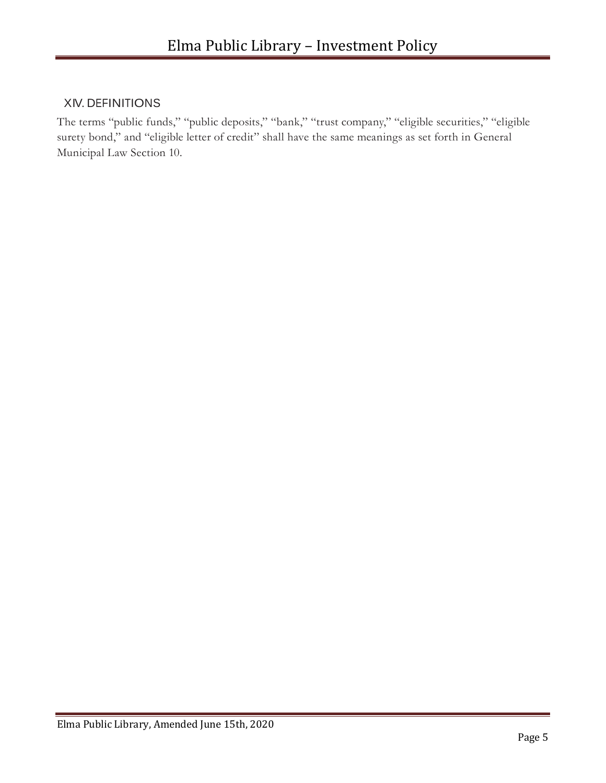## XIV. DEFINITIONS

The terms "public funds," "public deposits," "bank," "trust company," "eligible securities," "eligible surety bond," and "eligible letter of credit" shall have the same meanings as set forth in General Municipal Law Section 10.